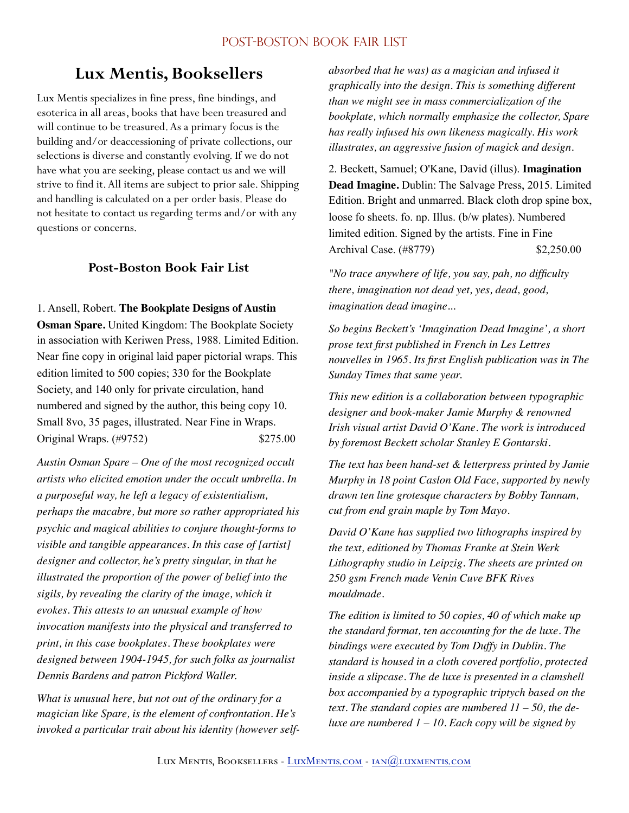# **Lux Mentis, Booksellers**

Lux Mentis specializes in fine press, fine bindings, and esoterica in all areas, books that have been treasured and will continue to be treasured. As a primary focus is the building and/or deaccessioning of private collections, our selections is diverse and constantly evolving. If we do not have what you are seeking, please contact us and we will strive to find it. All items are subject to prior sale. Shipping and handling is calculated on a per order basis. Please do not hesitate to contact us regarding terms and/or with any questions or concerns.

# **Post-Boston Book Fair List**

1. Ansell, Robert. **The Bookplate Designs of Austin** 

**Osman Spare.** United Kingdom: The Bookplate Society in association with Keriwen Press, 1988. Limited Edition. Near fine copy in original laid paper pictorial wraps. This edition limited to 500 copies; 330 for the Bookplate Society, and 140 only for private circulation, hand numbered and signed by the author, this being copy 10. Small 8vo, 35 pages, illustrated. Near Fine in Wraps. Original Wraps. (#9752) \$275.00

*Austin Osman Spare – One of the most recognized occult artists who elicited emotion under the occult umbrella. In a purposeful way, he left a legacy of existentialism, perhaps the macabre, but more so rather appropriated his psychic and magical abilities to conjure thought-forms to visible and tangible appearances. In this case of [artist] designer and collector, he's pretty singular, in that he illustrated the proportion of the power of belief into the sigils, by revealing the clarity of the image, which it evokes. This attests to an unusual example of how invocation manifests into the physical and transferred to print, in this case bookplates. These bookplates were designed between 1904-1945, for such folks as journalist Dennis Bardens and patron Pickford Waller.* 

*What is unusual here, but not out of the ordinary for a magician like Spare, is the element of confrontation. He's invoked a particular trait about his identity (however self-* *absorbed that he was) as a magician and infused it graphically into the design. This is something different than we might see in mass commercialization of the bookplate, which normally emphasize the collector, Spare has really infused his own likeness magically. His work illustrates, an aggressive fusion of magick and design.* 

2. Beckett, Samuel; O'Kane, David (illus). **Imagination Dead Imagine.** Dublin: The Salvage Press, 2015. Limited Edition. Bright and unmarred. Black cloth drop spine box, loose fo sheets. fo. np. Illus. (b/w plates). Numbered limited edition. Signed by the artists. Fine in Fine Archival Case. (#8779) \$2,250.00

*"No trace anywhere of life, you say, pah, no difficulty there, imagination not dead yet, yes, dead, good, imagination dead imagine...* 

*So begins Beckett's 'Imagination Dead Imagine', a short prose text first published in French in Les Lettres nouvelles in 1965. Its first English publication was in The Sunday Times that same year.* 

*This new edition is a collaboration between typographic designer and book-maker Jamie Murphy & renowned Irish visual artist David O'Kane. The work is introduced by foremost Beckett scholar Stanley E Gontarski.* 

*The text has been hand-set & letterpress printed by Jamie Murphy in 18 point Caslon Old Face, supported by newly drawn ten line grotesque characters by Bobby Tannam, cut from end grain maple by Tom Mayo.* 

*David O'Kane has supplied two lithographs inspired by the text, editioned by Thomas Franke at Stein Werk Lithography studio in Leipzig. The sheets are printed on 250 gsm French made Venin Cuve BFK Rives mouldmade.* 

*The edition is limited to 50 copies, 40 of which make up the standard format, ten accounting for the de luxe. The bindings were executed by Tom Duffy in Dublin. The standard is housed in a cloth covered portfolio, protected inside a slipcase. The de luxe is presented in a clamshell box accompanied by a typographic triptych based on the text. The standard copies are numbered 11 – 50, the deluxe are numbered 1 – 10. Each copy will be signed by*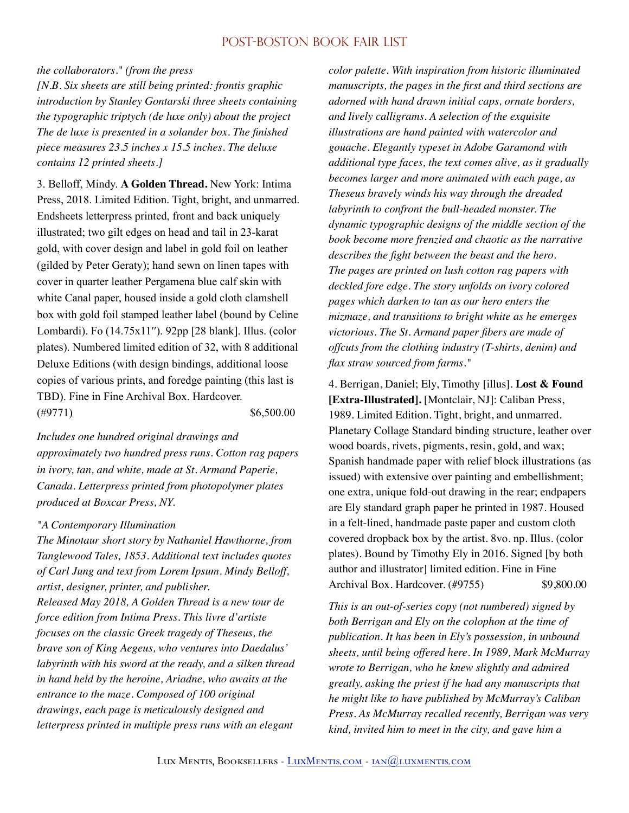#### *the collaborators." (from the press*

*[N.B. Six sheets are still being printed: frontis graphic introduction by Stanley Gontarski three sheets containing the typographic triptych (de luxe only) about the project The de luxe is presented in a solander box. The finished piece measures 23.5 inches x 15.5 inches. The deluxe contains 12 printed sheets.]* 

3. Belloff, Mindy. **A Golden Thread.** New York: Intima Press, 2018. Limited Edition. Tight, bright, and unmarred. Endsheets letterpress printed, front and back uniquely illustrated; two gilt edges on head and tail in 23-karat gold, with cover design and label in gold foil on leather (gilded by Peter Geraty); hand sewn on linen tapes with cover in quarter leather Pergamena blue calf skin with white Canal paper, housed inside a gold cloth clamshell box with gold foil stamped leather label (bound by Celine Lombardi). Fo (14.75x11′′). 92pp [28 blank]. Illus. (color plates). Numbered limited edition of 32, with 8 additional Deluxe Editions (with design bindings, additional loose copies of various prints, and foredge painting (this last is TBD). Fine in Fine Archival Box. Hardcover.  $(\#9771)$  \$6,500.00

*Includes one hundred original drawings and approximately two hundred press runs. Cotton rag papers in ivory, tan, and white, made at St. Armand Paperie, Canada. Letterpress printed from photopolymer plates produced at Boxcar Press, NY.* 

#### *"A Contemporary Illumination*

*The Minotaur short story by Nathaniel Hawthorne, from Tanglewood Tales, 1853. Additional text includes quotes of Carl Jung and text from Lorem Ipsum. Mindy Belloff, artist, designer, printer, and publisher. Released May 2018, A Golden Thread is a new tour de* 

*force edition from Intima Press. This livre d'artiste focuses on the classic Greek tragedy of Theseus, the brave son of King Aegeus, who ventures into Daedalus' labyrinth with his sword at the ready, and a silken thread in hand held by the heroine, Ariadne, who awaits at the entrance to the maze. Composed of 100 original drawings, each page is meticulously designed and letterpress printed in multiple press runs with an elegant* 

*color palette. With inspiration from historic illuminated manuscripts, the pages in the first and third sections are adorned with hand drawn initial caps, ornate borders, and lively calligrams. A selection of the exquisite illustrations are hand painted with watercolor and gouache. Elegantly typeset in Adobe Garamond with additional type faces, the text comes alive, as it gradually becomes larger and more animated with each page, as Theseus bravely winds his way through the dreaded labyrinth to confront the bull-headed monster. The dynamic typographic designs of the middle section of the book become more frenzied and chaotic as the narrative describes the fight between the beast and the hero. The pages are printed on lush cotton rag papers with deckled fore edge. The story unfolds on ivory colored pages which darken to tan as our hero enters the mizmaze, and transitions to bright white as he emerges victorious. The St. Armand paper fibers are made of offcuts from the clothing industry (T-shirts, denim) and flax straw sourced from farms."* 

4. Berrigan, Daniel; Ely, Timothy [illus]. **Lost & Found [Extra-Illustrated].** [Montclair, NJ]: Caliban Press, 1989. Limited Edition. Tight, bright, and unmarred. Planetary Collage Standard binding structure, leather over wood boards, rivets, pigments, resin, gold, and wax; Spanish handmade paper with relief block illustrations (as issued) with extensive over painting and embellishment; one extra, unique fold-out drawing in the rear; endpapers are Ely standard graph paper he printed in 1987. Housed in a felt-lined, handmade paste paper and custom cloth covered dropback box by the artist. 8vo. np. Illus. (color plates). Bound by Timothy Ely in 2016. Signed [by both author and illustrator] limited edition. Fine in Fine Archival Box. Hardcover. (#9755) \$9,800.00

*This is an out-of-series copy (not numbered) signed by both Berrigan and Ely on the colophon at the time of publication. It has been in Ely's possession, in unbound sheets, until being offered here. In 1989, Mark McMurray wrote to Berrigan, who he knew slightly and admired greatly, asking the priest if he had any manuscripts that he might like to have published by McMurray's Caliban Press. As McMurray recalled recently, Berrigan was very kind, invited him to meet in the city, and gave him a*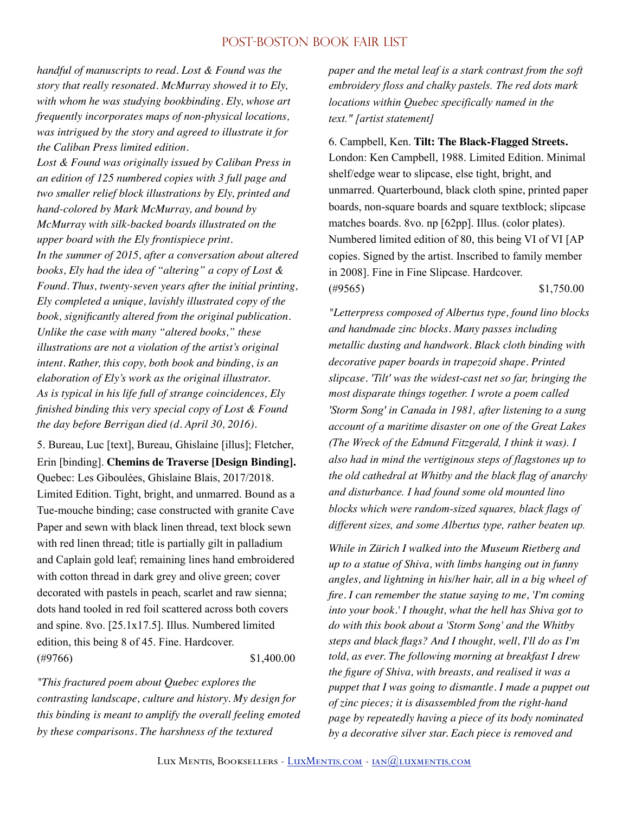*handful of manuscripts to read. Lost & Found was the story that really resonated. McMurray showed it to Ely, with whom he was studying bookbinding. Ely, whose art frequently incorporates maps of non-physical locations, was intrigued by the story and agreed to illustrate it for the Caliban Press limited edition.*

*Lost & Found was originally issued by Caliban Press in an edition of 125 numbered copies with 3 full page and two smaller relief block illustrations by Ely, printed and hand-colored by Mark McMurray, and bound by McMurray with silk-backed boards illustrated on the upper board with the Ely frontispiece print. In the summer of 2015, after a conversation about altered books, Ely had the idea of "altering" a copy of Lost & Found. Thus, twenty-seven years after the initial printing, Ely completed a unique, lavishly illustrated copy of the book, significantly altered from the original publication. Unlike the case with many "altered books," these illustrations are not a violation of the artist's original intent. Rather, this copy, both book and binding, is an elaboration of Ely's work as the original illustrator. As is typical in his life full of strange coincidences, Ely finished binding this very special copy of Lost & Found the day before Berrigan died (d. April 30, 2016).* 

5. Bureau, Luc [text], Bureau, Ghislaine [illus]; Fletcher, Erin [binding]. **Chemins de Traverse [Design Binding].**  Quebec: Les Giboulées, Ghislaine Blais, 2017/2018. Limited Edition. Tight, bright, and unmarred. Bound as a Tue-mouche binding; case constructed with granite Cave Paper and sewn with black linen thread, text block sewn with red linen thread; title is partially gilt in palladium and Caplain gold leaf; remaining lines hand embroidered with cotton thread in dark grey and olive green; cover decorated with pastels in peach, scarlet and raw sienna; dots hand tooled in red foil scattered across both covers and spine. 8vo. [25.1x17.5]. Illus. Numbered limited edition, this being 8 of 45. Fine. Hardcover.  $(*9766)$  \$1,400.00

*"This fractured poem about Quebec explores the contrasting landscape, culture and history. My design for this binding is meant to amplify the overall feeling emoted by these comparisons. The harshness of the textured* 

*paper and the metal leaf is a stark contrast from the soft embroidery floss and chalky pastels. The red dots mark locations within Quebec specifically named in the text." [artist statement]* 

6. Campbell, Ken. **Tilt: The Black-Flagged Streets.**  London: Ken Campbell, 1988. Limited Edition. Minimal shelf/edge wear to slipcase, else tight, bright, and unmarred. Quarterbound, black cloth spine, printed paper boards, non-square boards and square textblock; slipcase matches boards. 8vo. np [62pp]. Illus. (color plates). Numbered limited edition of 80, this being VI of VI [AP copies. Signed by the artist. Inscribed to family member in 2008]. Fine in Fine Slipcase. Hardcover. (#9565) \$1,750.00

*"Letterpress composed of Albertus type, found lino blocks and handmade zinc blocks. Many passes including metallic dusting and handwork. Black cloth binding with decorative paper boards in trapezoid shape. Printed slipcase. 'Tilt' was the widest-cast net so far, bringing the most disparate things together. I wrote a poem called 'Storm Song' in Canada in 1981, after listening to a sung account of a maritime disaster on one of the Great Lakes (The Wreck of the Edmund Fitzgerald, I think it was). I also had in mind the vertiginous steps of flagstones up to the old cathedral at Whitby and the black flag of anarchy and disturbance. I had found some old mounted lino blocks which were random-sized squares, black flags of different sizes, and some Albertus type, rather beaten up.* 

*While in Zürich I walked into the Museum Rietberg and up to a statue of Shiva, with limbs hanging out in funny angles, and lightning in his/her hair, all in a big wheel of fire. I can remember the statue saying to me, 'I'm coming into your book.' I thought, what the hell has Shiva got to do with this book about a 'Storm Song' and the Whitby steps and black flags? And I thought, well, I'll do as I'm told, as ever. The following morning at breakfast I drew the figure of Shiva, with breasts, and realised it was a puppet that I was going to dismantle. I made a puppet out of zinc pieces; it is disassembled from the right-hand page by repeatedly having a piece of its body nominated by a decorative silver star. Each piece is removed and*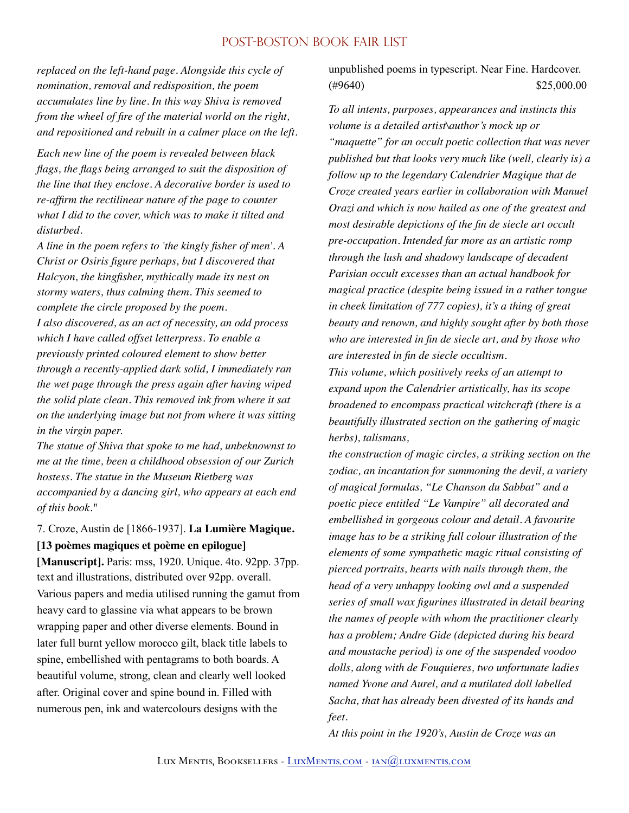*replaced on the left-hand page. Alongside this cycle of nomination, removal and redisposition, the poem accumulates line by line. In this way Shiva is removed from the wheel of fire of the material world on the right, and repositioned and rebuilt in a calmer place on the left.* 

*Each new line of the poem is revealed between black flags, the flags being arranged to suit the disposition of the line that they enclose. A decorative border is used to re-affirm the rectilinear nature of the page to counter what I did to the cover, which was to make it tilted and disturbed.*

*A line in the poem refers to 'the kingly fisher of men'. A Christ or Osiris figure perhaps, but I discovered that Halcyon, the kingfisher, mythically made its nest on stormy waters, thus calming them. This seemed to complete the circle proposed by the poem. I also discovered, as an act of necessity, an odd process which I have called offset letterpress. To enable a previously printed coloured element to show better through a recently-applied dark solid, I immediately ran the wet page through the press again after having wiped the solid plate clean. This removed ink from where it sat on the underlying image but not from where it was sitting in the virgin paper.*

*The statue of Shiva that spoke to me had, unbeknownst to me at the time, been a childhood obsession of our Zurich hostess. The statue in the Museum Rietberg was accompanied by a dancing girl, who appears at each end of this book."* 

# 7. Croze, Austin de [1866-1937]. **La Lumière Magique. [13 poèmes magiques et poème en epilogue]**

**[Manuscript].** Paris: mss, 1920. Unique. 4to. 92pp. 37pp. text and illustrations, distributed over 92pp. overall. Various papers and media utilised running the gamut from heavy card to glassine via what appears to be brown wrapping paper and other diverse elements. Bound in later full burnt yellow morocco gilt, black title labels to spine, embellished with pentagrams to both boards. A beautiful volume, strong, clean and clearly well looked after. Original cover and spine bound in. Filled with numerous pen, ink and watercolours designs with the

unpublished poems in typescript. Near Fine. Hardcover.  $\textcircled{49640}$  \$25,000.00

*To all intents, purposes, appearances and instincts this volume is a detailed artist\author's mock up or "maquette" for an occult poetic collection that was never published but that looks very much like (well, clearly is) a follow up to the legendary Calendrier Magique that de Croze created years earlier in collaboration with Manuel Orazi and which is now hailed as one of the greatest and most desirable depictions of the fin de siecle art occult pre-occupation. Intended far more as an artistic romp through the lush and shadowy landscape of decadent Parisian occult excesses than an actual handbook for magical practice (despite being issued in a rather tongue in cheek limitation of 777 copies), it's a thing of great beauty and renown, and highly sought after by both those who are interested in fin de siecle art, and by those who are interested in fin de siecle occultism.*

*This volume, which positively reeks of an attempt to expand upon the Calendrier artistically, has its scope broadened to encompass practical witchcraft (there is a beautifully illustrated section on the gathering of magic herbs), talismans,*

*the construction of magic circles, a striking section on the zodiac, an incantation for summoning the devil, a variety of magical formulas, "Le Chanson du Sabbat" and a poetic piece entitled "Le Vampire" all decorated and embellished in gorgeous colour and detail. A favourite image has to be a striking full colour illustration of the elements of some sympathetic magic ritual consisting of pierced portraits, hearts with nails through them, the head of a very unhappy looking owl and a suspended series of small wax figurines illustrated in detail bearing the names of people with whom the practitioner clearly has a problem; Andre Gide (depicted during his beard and moustache period) is one of the suspended voodoo dolls, along with de Fouquieres, two unfortunate ladies named Yvone and Aurel, and a mutilated doll labelled Sacha, that has already been divested of its hands and feet.*

*At this point in the 1920's, Austin de Croze was an*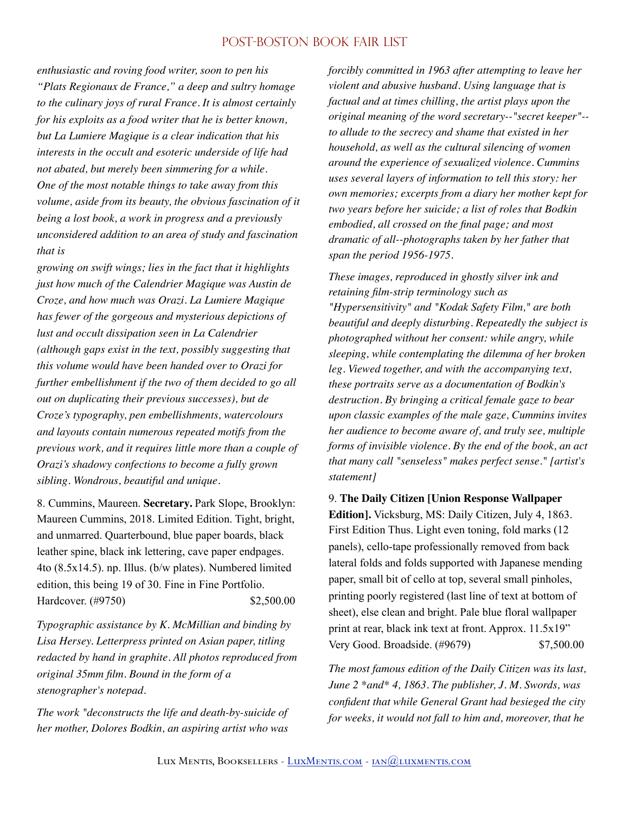*enthusiastic and roving food writer, soon to pen his "Plats Regionaux de France," a deep and sultry homage to the culinary joys of rural France. It is almost certainly for his exploits as a food writer that he is better known, but La Lumiere Magique is a clear indication that his interests in the occult and esoteric underside of life had not abated, but merely been simmering for a while. One of the most notable things to take away from this volume, aside from its beauty, the obvious fascination of it being a lost book, a work in progress and a previously unconsidered addition to an area of study and fascination that is*

*growing on swift wings; lies in the fact that it highlights just how much of the Calendrier Magique was Austin de Croze, and how much was Orazi. La Lumiere Magique has fewer of the gorgeous and mysterious depictions of lust and occult dissipation seen in La Calendrier (although gaps exist in the text, possibly suggesting that this volume would have been handed over to Orazi for further embellishment if the two of them decided to go all out on duplicating their previous successes), but de Croze's typography, pen embellishments, watercolours and layouts contain numerous repeated motifs from the previous work, and it requires little more than a couple of Orazi's shadowy confections to become a fully grown sibling. Wondrous, beautiful and unique.* 

8. Cummins, Maureen. **Secretary.** Park Slope, Brooklyn: Maureen Cummins, 2018. Limited Edition. Tight, bright, and unmarred. Quarterbound, blue paper boards, black leather spine, black ink lettering, cave paper endpages. 4to (8.5x14.5). np. Illus. (b/w plates). Numbered limited edition, this being 19 of 30. Fine in Fine Portfolio. Hardcover. (#9750) \$2,500.00

*Typographic assistance by K. McMillian and binding by Lisa Hersey. Letterpress printed on Asian paper, titling redacted by hand in graphite. All photos reproduced from original 35mm film. Bound in the form of a stenographer's notepad.* 

*The work "deconstructs the life and death-by-suicide of her mother, Dolores Bodkin, an aspiring artist who was*  *forcibly committed in 1963 after attempting to leave her violent and abusive husband. Using language that is factual and at times chilling, the artist plays upon the original meaning of the word secretary--"secret keeper"- to allude to the secrecy and shame that existed in her household, as well as the cultural silencing of women around the experience of sexualized violence. Cummins uses several layers of information to tell this story: her own memories; excerpts from a diary her mother kept for two years before her suicide; a list of roles that Bodkin embodied, all crossed on the final page; and most dramatic of all--photographs taken by her father that span the period 1956-1975.* 

*These images, reproduced in ghostly silver ink and retaining film-strip terminology such as "Hypersensitivity" and "Kodak Safety Film," are both beautiful and deeply disturbing. Repeatedly the subject is photographed without her consent: while angry, while sleeping, while contemplating the dilemma of her broken leg. Viewed together, and with the accompanying text, these portraits serve as a documentation of Bodkin's destruction. By bringing a critical female gaze to bear upon classic examples of the male gaze, Cummins invites her audience to become aware of, and truly see, multiple forms of invisible violence. By the end of the book, an act that many call "senseless" makes perfect sense." [artist's statement]* 

9. **The Daily Citizen [Union Response Wallpaper Edition].** Vicksburg, MS: Daily Citizen, July 4, 1863. First Edition Thus. Light even toning, fold marks (12 panels), cello-tape professionally removed from back lateral folds and folds supported with Japanese mending paper, small bit of cello at top, several small pinholes, printing poorly registered (last line of text at bottom of sheet), else clean and bright. Pale blue floral wallpaper print at rear, black ink text at front. Approx. 11.5x19" Very Good. Broadside. (#9679) \$7,500.00

*The most famous edition of the Daily Citizen was its last, June 2 \*and\* 4, 1863. The publisher, J. M. Swords, was confident that while General Grant had besieged the city for weeks, it would not fall to him and, moreover, that he*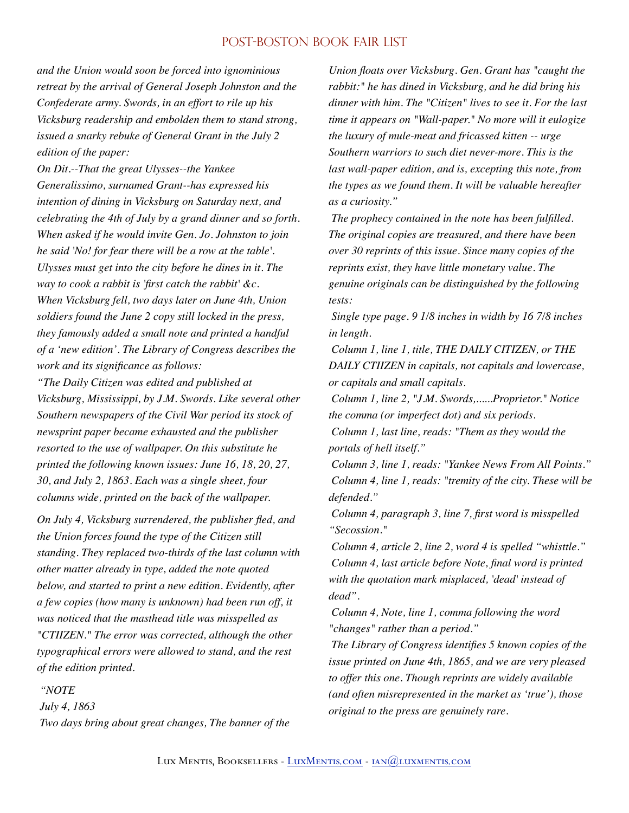*and the Union would soon be forced into ignominious retreat by the arrival of General Joseph Johnston and the Confederate army. Swords, in an effort to rile up his Vicksburg readership and embolden them to stand strong, issued a snarky rebuke of General Grant in the July 2 edition of the paper:*

*On Dit.--That the great Ulysses--the Yankee Generalissimo, surnamed Grant--has expressed his intention of dining in Vicksburg on Saturday next, and celebrating the 4th of July by a grand dinner and so forth. When asked if he would invite Gen. Jo. Johnston to join he said 'No! for fear there will be a row at the table'. Ulysses must get into the city before he dines in it. The way to cook a rabbit is 'first catch the rabbit' &c. When Vicksburg fell, two days later on June 4th, Union soldiers found the June 2 copy still locked in the press, they famously added a small note and printed a handful of a 'new edition'. The Library of Congress describes the work and its significance as follows:*

*"The Daily Citizen was edited and published at Vicksburg, Mississippi, by J.M. Swords. Like several other Southern newspapers of the Civil War period its stock of newsprint paper became exhausted and the publisher resorted to the use of wallpaper. On this substitute he printed the following known issues: June 16, 18, 20, 27, 30, and July 2, 1863. Each was a single sheet, four columns wide, printed on the back of the wallpaper.* 

*On July 4, Vicksburg surrendered, the publisher fled, and the Union forces found the type of the Citizen still standing. They replaced two-thirds of the last column with other matter already in type, added the note quoted below, and started to print a new edition. Evidently, after a few copies (how many is unknown) had been run off, it was noticed that the masthead title was misspelled as "CTIIZEN." The error was corrected, although the other typographical errors were allowed to stand, and the rest of the edition printed.* 

#### *"NOTE*

 *July 4, 1863 Two days bring about great changes, The banner of the* 

*Union floats over Vicksburg. Gen. Grant has "caught the rabbit:" he has dined in Vicksburg, and he did bring his dinner with him. The "Citizen" lives to see it. For the last time it appears on "Wall-paper." No more will it eulogize the luxury of mule-meat and fricassed kitten -- urge Southern warriors to such diet never-more. This is the last wall-paper edition, and is, excepting this note, from the types as we found them. It will be valuable hereafter as a curiosity."* 

 *The prophecy contained in the note has been fulfilled. The original copies are treasured, and there have been over 30 reprints of this issue. Since many copies of the reprints exist, they have little monetary value. The genuine originals can be distinguished by the following tests:* 

 *Single type page. 9 1/8 inches in width by 16 7/8 inches in length.* 

 *Column 1, line 1, title, THE DAILY CITIZEN, or THE DAILY CTIIZEN in capitals, not capitals and lowercase, or capitals and small capitals.* 

 *Column 1, line 2, "J.M. Swords,......Proprietor." Notice the comma (or imperfect dot) and six periods.* 

 *Column 1, last line, reads: "Them as they would the portals of hell itself."* 

 *Column 3, line 1, reads: "Yankee News From All Points." Column 4, line 1, reads: "tremity of the city. These will be defended."* 

 *Column 4, paragraph 3, line 7, first word is misspelled "Secossion."*

 *Column 4, article 2, line 2, word 4 is spelled "whisttle." Column 4, last article before Note, final word is printed with the quotation mark misplaced, 'dead' instead of dead".* 

 *Column 4, Note, line 1, comma following the word "changes" rather than a period."* 

 *The Library of Congress identifies 5 known copies of the issue printed on June 4th, 1865, and we are very pleased to offer this one. Though reprints are widely available (and often misrepresented in the market as 'true'), those original to the press are genuinely rare.*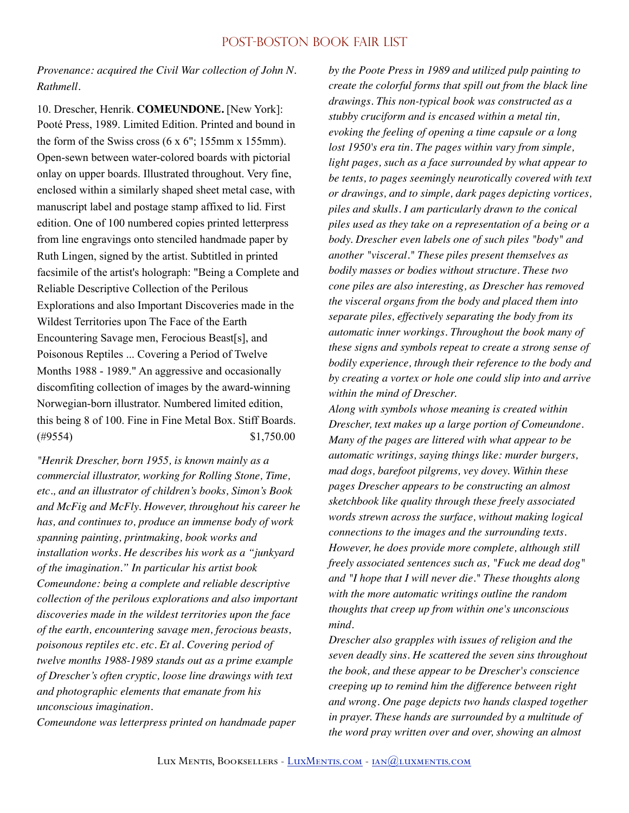*Provenance: acquired the Civil War collection of John N. Rathmell.* 

10. Drescher, Henrik. **COMEUNDONE.** [New York]: Pooté Press, 1989. Limited Edition. Printed and bound in the form of the Swiss cross (6 x 6"; 155mm x 155mm). Open-sewn between water-colored boards with pictorial onlay on upper boards. Illustrated throughout. Very fine, enclosed within a similarly shaped sheet metal case, with manuscript label and postage stamp affixed to lid. First edition. One of 100 numbered copies printed letterpress from line engravings onto stenciled handmade paper by Ruth Lingen, signed by the artist. Subtitled in printed facsimile of the artist's holograph: "Being a Complete and Reliable Descriptive Collection of the Perilous Explorations and also Important Discoveries made in the Wildest Territories upon The Face of the Earth Encountering Savage men, Ferocious Beast[s], and Poisonous Reptiles ... Covering a Period of Twelve Months 1988 - 1989." An aggressive and occasionally discomfiting collection of images by the award-winning Norwegian-born illustrator. Numbered limited edition, this being 8 of 100. Fine in Fine Metal Box. Stiff Boards.  $(*9554)$  \$1,750.00

*"Henrik Drescher, born 1955, is known mainly as a commercial illustrator, working for Rolling Stone, Time, etc., and an illustrator of children's books, Simon's Book and McFig and McFly. However, throughout his career he has, and continues to, produce an immense body of work spanning painting, printmaking, book works and installation works. He describes his work as a "junkyard of the imagination." In particular his artist book Comeundone: being a complete and reliable descriptive collection of the perilous explorations and also important discoveries made in the wildest territories upon the face of the earth, encountering savage men, ferocious beasts, poisonous reptiles etc. etc. Et al. Covering period of twelve months 1988-1989 stands out as a prime example of Drescher's often cryptic, loose line drawings with text and photographic elements that emanate from his unconscious imagination.*

*Comeundone was letterpress printed on handmade paper* 

*by the Poote Press in 1989 and utilized pulp painting to create the colorful forms that spill out from the black line drawings. This non-typical book was constructed as a stubby cruciform and is encased within a metal tin, evoking the feeling of opening a time capsule or a long lost 1950's era tin. The pages within vary from simple, light pages, such as a face surrounded by what appear to be tents, to pages seemingly neurotically covered with text or drawings, and to simple, dark pages depicting vortices, piles and skulls. I am particularly drawn to the conical piles used as they take on a representation of a being or a body. Drescher even labels one of such piles "body" and another "visceral." These piles present themselves as bodily masses or bodies without structure. These two cone piles are also interesting, as Drescher has removed the visceral organs from the body and placed them into separate piles, effectively separating the body from its automatic inner workings. Throughout the book many of these signs and symbols repeat to create a strong sense of bodily experience, through their reference to the body and by creating a vortex or hole one could slip into and arrive within the mind of Drescher.*

*Along with symbols whose meaning is created within Drescher, text makes up a large portion of Comeundone. Many of the pages are littered with what appear to be automatic writings, saying things like: murder burgers, mad dogs, barefoot pilgrems, vey dovey. Within these pages Drescher appears to be constructing an almost sketchbook like quality through these freely associated words strewn across the surface, without making logical connections to the images and the surrounding texts. However, he does provide more complete, although still freely associated sentences such as, "Fuck me dead dog" and "I hope that I will never die." These thoughts along with the more automatic writings outline the random thoughts that creep up from within one's unconscious mind.*

*Drescher also grapples with issues of religion and the seven deadly sins. He scattered the seven sins throughout the book, and these appear to be Drescher's conscience creeping up to remind him the difference between right and wrong. One page depicts two hands clasped together in prayer. These hands are surrounded by a multitude of the word pray written over and over, showing an almost*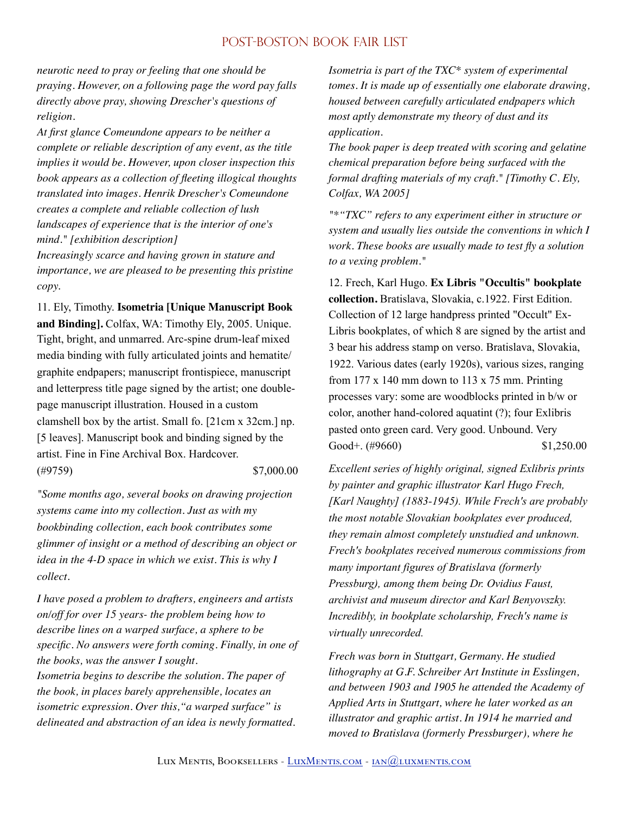*neurotic need to pray or feeling that one should be praying. However, on a following page the word pay falls directly above pray, showing Drescher's questions of religion.*

*At first glance Comeundone appears to be neither a complete or reliable description of any event, as the title implies it would be. However, upon closer inspection this book appears as a collection of fleeting illogical thoughts translated into images. Henrik Drescher's Comeundone creates a complete and reliable collection of lush landscapes of experience that is the interior of one's mind." [exhibition description]*

*Increasingly scarce and having grown in stature and importance, we are pleased to be presenting this pristine copy.* 

11. Ely, Timothy. **Isometria [Unique Manuscript Book and Binding].** Colfax, WA: Timothy Ely, 2005. Unique. Tight, bright, and unmarred. Arc-spine drum-leaf mixed media binding with fully articulated joints and hematite/ graphite endpapers; manuscript frontispiece, manuscript and letterpress title page signed by the artist; one doublepage manuscript illustration. Housed in a custom clamshell box by the artist. Small fo. [21cm x 32cm.] np. [5 leaves]. Manuscript book and binding signed by the artist. Fine in Fine Archival Box. Hardcover. (#9759) \$7,000.00

*"Some months ago, several books on drawing projection systems came into my collection. Just as with my bookbinding collection, each book contributes some glimmer of insight or a method of describing an object or idea in the 4-D space in which we exist. This is why I collect.* 

*I have posed a problem to drafters, engineers and artists on/off for over 15 years- the problem being how to describe lines on a warped surface, a sphere to be specific. No answers were forth coming. Finally, in one of the books, was the answer I sought. Isometria begins to describe the solution. The paper of the book, in places barely apprehensible, locates an isometric expression. Over this,"a warped surface" is delineated and abstraction of an idea is newly formatted.* 

*Isometria is part of the TXC\* system of experimental tomes. It is made up of essentially one elaborate drawing, housed between carefully articulated endpapers which most aptly demonstrate my theory of dust and its application.*

*The book paper is deep treated with scoring and gelatine chemical preparation before being surfaced with the formal drafting materials of my craft." [Timothy C. Ely, Colfax, WA 2005]* 

*"\*"TXC" refers to any experiment either in structure or system and usually lies outside the conventions in which I work. These books are usually made to test fly a solution to a vexing problem."* 

12. Frech, Karl Hugo. **Ex Libris "Occultis" bookplate collection.** Bratislava, Slovakia, c.1922. First Edition. Collection of 12 large handpress printed "Occult" Ex-Libris bookplates, of which 8 are signed by the artist and 3 bear his address stamp on verso. Bratislava, Slovakia, 1922. Various dates (early 1920s), various sizes, ranging from  $177 \times 140$  mm down to  $113 \times 75$  mm. Printing processes vary: some are woodblocks printed in b/w or color, another hand-colored aquatint (?); four Exlibris pasted onto green card. Very good. Unbound. Very Good+.  $(\#9660)$  \$1,250.00

*Excellent series of highly original, signed Exlibris prints by painter and graphic illustrator Karl Hugo Frech, [Karl Naughty] (1883-1945). While Frech's are probably the most notable Slovakian bookplates ever produced, they remain almost completely unstudied and unknown. Frech's bookplates received numerous commissions from many important figures of Bratislava (formerly Pressburg), among them being Dr. Ovidius Faust, archivist and museum director and Karl Benyovszky. Incredibly, in bookplate scholarship, Frech's name is virtually unrecorded.* 

*Frech was born in Stuttgart, Germany. He studied lithography at G.F. Schreiber Art Institute in Esslingen, and between 1903 and 1905 he attended the Academy of Applied Arts in Stuttgart, where he later worked as an illustrator and graphic artist. In 1914 he married and moved to Bratislava (formerly Pressburger), where he*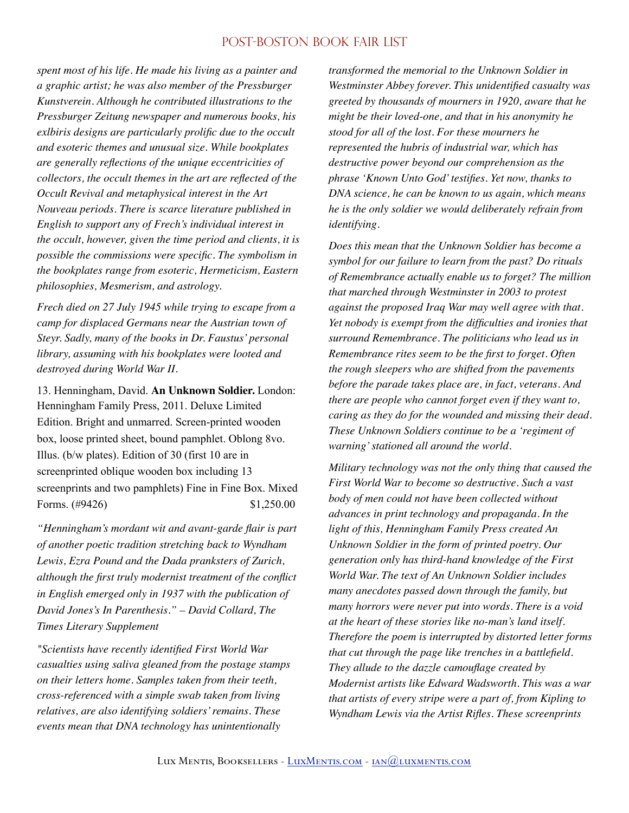*spent most of his life. He made his living as a painter and a graphic artist; he was also member of the Pressburger Kunstverein. Although he contributed illustrations to the Pressburger Zeitung newspaper and numerous books, his exlbiris designs are particularly prolific due to the occult and esoteric themes and unusual size. While bookplates are generally reflections of the unique eccentricities of collectors, the occult themes in the art are reflected of the Occult Revival and metaphysical interest in the Art Nouveau periods. There is scarce literature published in English to support any of Frech's individual interest in the occult, however, given the time period and clients, it is possible the commissions were specific. The symbolism in the bookplates range from esoteric, Hermeticism, Eastern philosophies, Mesmerism, and astrology.* 

*Frech died on 27 July 1945 while trying to escape from a camp for displaced Germans near the Austrian town of Steyr. Sadly, many of the books in Dr. Faustus' personal library, assuming with his bookplates were looted and destroyed during World War II.* 

13. Henningham, David. **An Unknown Soldier.** London: Henningham Family Press, 2011. Deluxe Limited Edition. Bright and unmarred. Screen-printed wooden box, loose printed sheet, bound pamphlet. Oblong 8vo. Illus. (b/w plates). Edition of 30 (first 10 are in screenprinted oblique wooden box including 13 screenprints and two pamphlets) Fine in Fine Box. Mixed Forms. (#9426) \$1,250.00

*"Henningham's mordant wit and avant-garde flair is part of another poetic tradition stretching back to Wyndham Lewis, Ezra Pound and the Dada pranksters of Zurich, although the first truly modernist treatment of the conflict in English emerged only in 1937 with the publication of David Jones's In Parenthesis." – David Collard, The Times Literary Supplement* 

*"Scientists have recently identified First World War casualties using saliva gleaned from the postage stamps on their letters home. Samples taken from their teeth, cross-referenced with a simple swab taken from living relatives, are also identifying soldiers' remains. These events mean that DNA technology has unintentionally* 

*transformed the memorial to the Unknown Soldier in Westminster Abbey forever. This unidentified casualty was greeted by thousands of mourners in 1920, aware that he might be their loved-one, and that in his anonymity he stood for all of the lost. For these mourners he represented the hubris of industrial war, which has destructive power beyond our comprehension as the phrase 'Known Unto God' testifies. Yet now, thanks to DNA science, he can be known to us again, which means he is the only soldier we would deliberately refrain from identifying.* 

*Does this mean that the Unknown Soldier has become a symbol for our failure to learn from the past? Do rituals of Remembrance actually enable us to forget? The million that marched through Westminster in 2003 to protest against the proposed Iraq War may well agree with that. Yet nobody is exempt from the difficulties and ironies that surround Remembrance. The politicians who lead us in Remembrance rites seem to be the first to forget. Often the rough sleepers who are shifted from the pavements before the parade takes place are, in fact, veterans. And there are people who cannot forget even if they want to, caring as they do for the wounded and missing their dead. These Unknown Soldiers continue to be a 'regiment of warning' stationed all around the world.* 

*Military technology was not the only thing that caused the First World War to become so destructive. Such a vast body of men could not have been collected without advances in print technology and propaganda. In the light of this, Henningham Family Press created An Unknown Soldier in the form of printed poetry. Our generation only has third-hand knowledge of the First World War. The text of An Unknown Soldier includes many anecdotes passed down through the family, but many horrors were never put into words. There is a void at the heart of these stories like no-man's land itself. Therefore the poem is interrupted by distorted letter forms that cut through the page like trenches in a battlefield. They allude to the dazzle camouflage created by Modernist artists like Edward Wadsworth. This was a war that artists of every stripe were a part of, from Kipling to Wyndham Lewis via the Artist Rifles. These screenprints*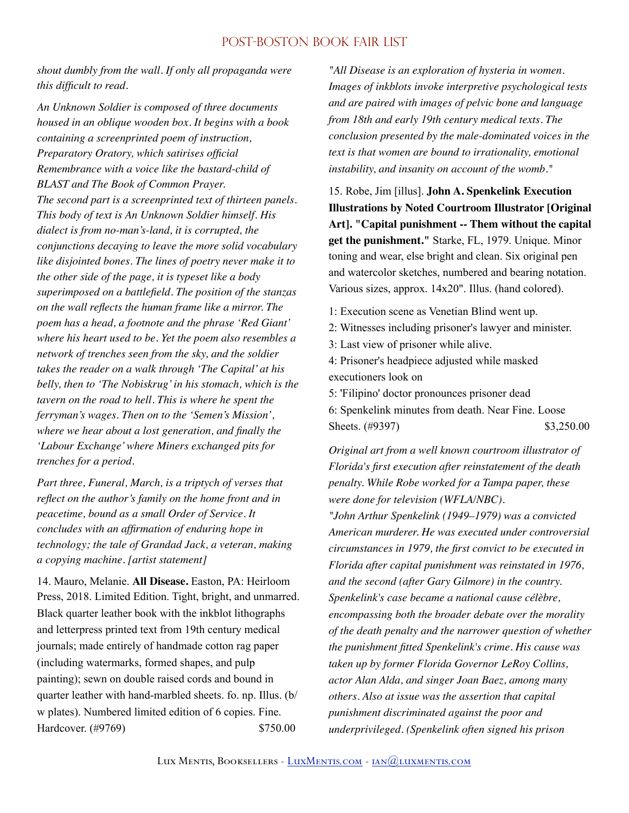*shout dumbly from the wall. If only all propaganda were this difficult to read.* 

*An Unknown Soldier is composed of three documents housed in an oblique wooden box. It begins with a book containing a screenprinted poem of instruction, Preparatory Oratory, which satirises official Remembrance with a voice like the bastard-child of BLAST and The Book of Common Prayer. The second part is a screenprinted text of thirteen panels. This body of text is An Unknown Soldier himself. His dialect is from no-man's-land, it is corrupted, the conjunctions decaying to leave the more solid vocabulary like disjointed bones. The lines of poetry never make it to the other side of the page, it is typeset like a body superimposed on a battlefield. The position of the stanzas on the wall reflects the human frame like a mirror. The poem has a head, a footnote and the phrase 'Red Giant' where his heart used to be. Yet the poem also resembles a network of trenches seen from the sky, and the soldier takes the reader on a walk through 'The Capital' at his belly, then to 'The Nobiskrug' in his stomach, which is the tavern on the road to hell. This is where he spent the ferryman's wages. Then on to the 'Semen's Mission', where we hear about a lost generation, and finally the 'Labour Exchange' where Miners exchanged pits for trenches for a period.* 

*Part three, Funeral, March, is a triptych of verses that reflect on the author's family on the home front and in peacetime, bound as a small Order of Service. It concludes with an affirmation of enduring hope in technology; the tale of Grandad Jack, a veteran, making a copying machine. [artist statement]* 

14. Mauro, Melanie. **All Disease.** Easton, PA: Heirloom Press, 2018. Limited Edition. Tight, bright, and unmarred. Black quarter leather book with the inkblot lithographs and letterpress printed text from 19th century medical journals; made entirely of handmade cotton rag paper (including watermarks, formed shapes, and pulp painting); sewn on double raised cords and bound in quarter leather with hand-marbled sheets. fo. np. Illus. (b/ w plates). Numbered limited edition of 6 copies. Fine. Hardcover. (#9769) \$750.00

*"All Disease is an exploration of hysteria in women. Images of inkblots invoke interpretive psychological tests and are paired with images of pelvic bone and language from 18th and early 19th century medical texts. The conclusion presented by the male-dominated voices in the text is that women are bound to irrationality, emotional instability, and insanity on account of the womb."* 

15. Robe, Jim [illus]. **John A. Spenkelink Execution Illustrations by Noted Courtroom Illustrator [Original Art]. "Capital punishment -- Them without the capital get the punishment."** Starke, FL, 1979. Unique. Minor toning and wear, else bright and clean. Six original pen and watercolor sketches, numbered and bearing notation. Various sizes, approx. 14x20". Illus. (hand colored).

- 1: Execution scene as Venetian Blind went up.
- 2: Witnesses including prisoner's lawyer and minister.
- 3: Last view of prisoner while alive.

4: Prisoner's headpiece adjusted while masked executioners look on

5: 'Filipino' doctor pronounces prisoner dead 6: Spenkelink minutes from death. Near Fine. Loose Sheets. (#9397) \$3,250.00

*Original art from a well known courtroom illustrator of Florida's first execution after reinstatement of the death penalty. While Robe worked for a Tampa paper, these were done for television (WFLA/NBC).*

*"John Arthur Spenkelink (1949–1979) was a convicted American murderer. He was executed under controversial circumstances in 1979, the first convict to be executed in Florida after capital punishment was reinstated in 1976, and the second (after Gary Gilmore) in the country. Spenkelink's case became a national cause célèbre, encompassing both the broader debate over the morality of the death penalty and the narrower question of whether the punishment fitted Spenkelink's crime. His cause was taken up by former Florida Governor LeRoy Collins, actor Alan Alda, and singer Joan Baez, among many others. Also at issue was the assertion that capital punishment discriminated against the poor and underprivileged. (Spenkelink often signed his prison*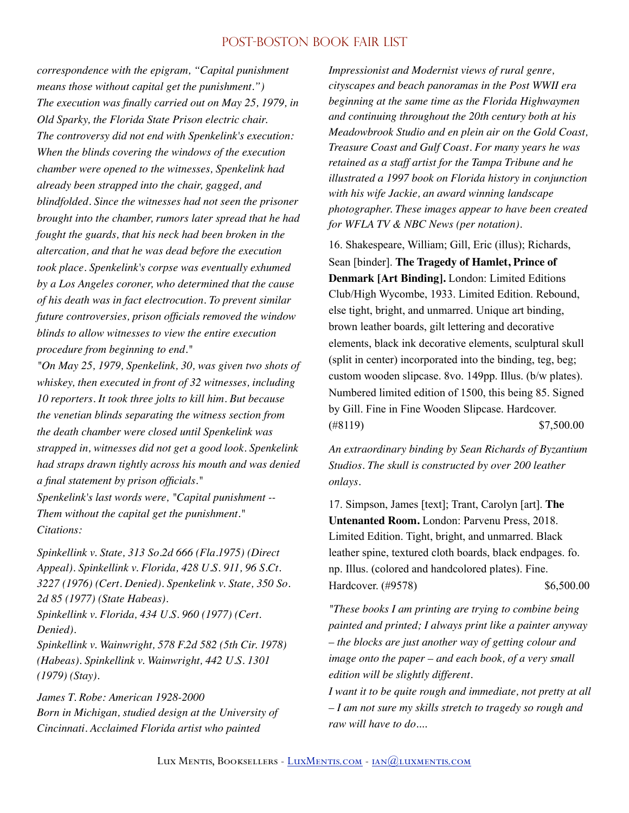*correspondence with the epigram, "Capital punishment means those without capital get the punishment.") The execution was finally carried out on May 25, 1979, in Old Sparky, the Florida State Prison electric chair. The controversy did not end with Spenkelink's execution: When the blinds covering the windows of the execution chamber were opened to the witnesses, Spenkelink had already been strapped into the chair, gagged, and blindfolded. Since the witnesses had not seen the prisoner brought into the chamber, rumors later spread that he had fought the guards, that his neck had been broken in the altercation, and that he was dead before the execution took place. Spenkelink's corpse was eventually exhumed by a Los Angeles coroner, who determined that the cause of his death was in fact electrocution. To prevent similar future controversies, prison officials removed the window blinds to allow witnesses to view the entire execution procedure from beginning to end."*

*"On May 25, 1979, Spenkelink, 30, was given two shots of whiskey, then executed in front of 32 witnesses, including 10 reporters. It took three jolts to kill him. But because the venetian blinds separating the witness section from the death chamber were closed until Spenkelink was strapped in, witnesses did not get a good look. Spenkelink had straps drawn tightly across his mouth and was denied a final statement by prison officials."*

*Spenkelink's last words were, "Capital punishment -- Them without the capital get the punishment." Citations:* 

*Spinkellink v. State, 313 So.2d 666 (Fla.1975) (Direct Appeal). Spinkellink v. Florida, 428 U.S. 911, 96 S.Ct. 3227 (1976) (Cert. Denied). Spenkelink v. State, 350 So. 2d 85 (1977) (State Habeas). Spinkellink v. Florida, 434 U.S. 960 (1977) (Cert. Denied). Spinkellink v. Wainwright, 578 F.2d 582 (5th Cir. 1978) (Habeas). Spinkellink v. Wainwright, 442 U.S. 1301 (1979) (Stay).* 

*James T. Robe: American 1928-2000 Born in Michigan, studied design at the University of Cincinnati. Acclaimed Florida artist who painted* 

*Impressionist and Modernist views of rural genre, cityscapes and beach panoramas in the Post WWII era beginning at the same time as the Florida Highwaymen and continuing throughout the 20th century both at his Meadowbrook Studio and en plein air on the Gold Coast, Treasure Coast and Gulf Coast. For many years he was retained as a staff artist for the Tampa Tribune and he illustrated a 1997 book on Florida history in conjunction with his wife Jackie, an award winning landscape photographer. These images appear to have been created for WFLA TV & NBC News (per notation).* 

16. Shakespeare, William; Gill, Eric (illus); Richards, Sean [binder]. **The Tragedy of Hamlet, Prince of Denmark [Art Binding].** London: Limited Editions Club/High Wycombe, 1933. Limited Edition. Rebound, else tight, bright, and unmarred. Unique art binding, brown leather boards, gilt lettering and decorative elements, black ink decorative elements, sculptural skull (split in center) incorporated into the binding, teg, beg; custom wooden slipcase. 8vo. 149pp. Illus. (b/w plates). Numbered limited edition of 1500, this being 85. Signed by Gill. Fine in Fine Wooden Slipcase. Hardcover.  $(*8119)$  \$7,500.00

*An extraordinary binding by Sean Richards of Byzantium Studios. The skull is constructed by over 200 leather onlays.* 

17. Simpson, James [text]; Trant, Carolyn [art]. **The Untenanted Room.** London: Parvenu Press, 2018. Limited Edition. Tight, bright, and unmarred. Black leather spine, textured cloth boards, black endpages. fo. np. Illus. (colored and handcolored plates). Fine. Hardcover. (#9578) \$6,500.00

*"These books I am printing are trying to combine being painted and printed; I always print like a painter anyway – the blocks are just another way of getting colour and image onto the paper – and each book, of a very small edition will be slightly different.*

*I want it to be quite rough and immediate, not pretty at all – I am not sure my skills stretch to tragedy so rough and raw will have to do....*